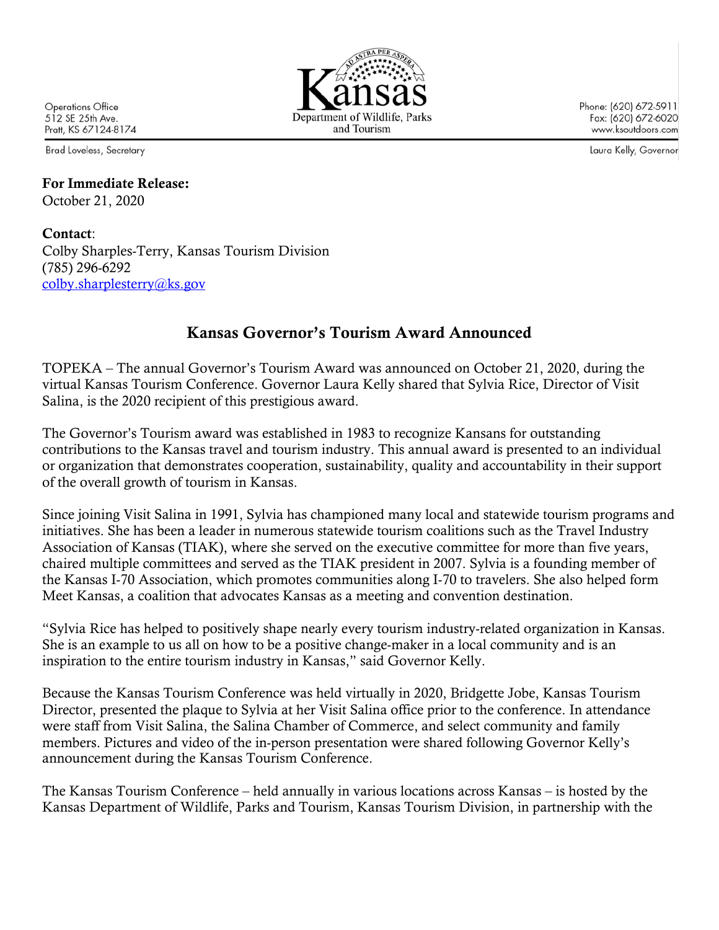

**Brad Loveless, Secretary** 

## For Immediate Release: October 21, 2020

Contact: Colby Sharples-Terry, Kansas Tourism Division (785) 296-6292 colby.sharplesterry@ks.gov

## Kansas Governor's Tourism Award Announced

TOPEKA – The annual Governor's Tourism Award was announced on October 21, 2020, during the virtual Kansas Tourism Conference. Governor Laura Kelly shared that Sylvia Rice, Director of Visit Salina, is the 2020 recipient of this prestigious award.

The Governor's Tourism award was established in 1983 to recognize Kansans for outstanding contributions to the Kansas travel and tourism industry. This annual award is presented to an individual or organization that demonstrates cooperation, sustainability, quality and accountability in their support of the overall growth of tourism in Kansas.

Since joining Visit Salina in 1991, Sylvia has championed many local and statewide tourism programs and initiatives. She has been a leader in numerous statewide tourism coalitions such as the Travel Industry Association of Kansas (TIAK), where she served on the executive committee for more than five years, chaired multiple committees and served as the TIAK president in 2007. Sylvia is a founding member of the Kansas I-70 Association, which promotes communities along I-70 to travelers. She also helped form Meet Kansas, a coalition that advocates Kansas as a meeting and convention destination.

"Sylvia Rice has helped to positively shape nearly every tourism industry-related organization in Kansas. She is an example to us all on how to be a positive change-maker in a local community and is an inspiration to the entire tourism industry in Kansas," said Governor Kelly.

Because the Kansas Tourism Conference was held virtually in 2020, Bridgette Jobe, Kansas Tourism Director, presented the plaque to Sylvia at her Visit Salina office prior to the conference. In attendance were staff from Visit Salina, the Salina Chamber of Commerce, and select community and family members. Pictures and video of the in-person presentation were shared following Governor Kelly's announcement during the Kansas Tourism Conference.

The Kansas Tourism Conference – held annually in various locations across Kansas – is hosted by the Kansas Department of Wildlife, Parks and Tourism, Kansas Tourism Division, in partnership with the



Phone: (620) 672-5911 Fax: (620) 672-6020 www.ksoutdoors.com

Laura Kelly, Governor